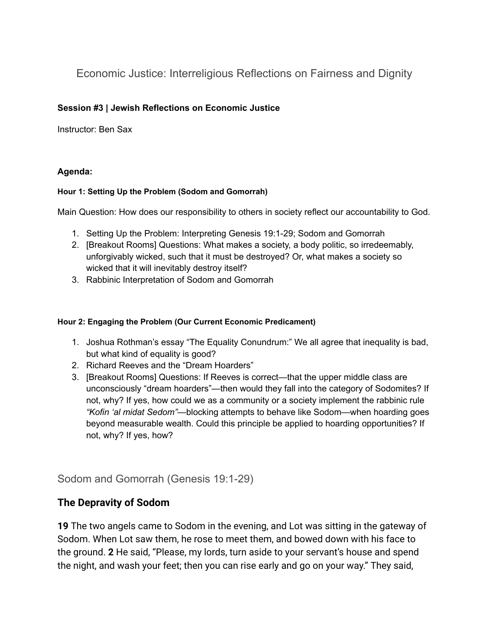Economic Justice: Interreligious Reflections on Fairness and Dignity

### **Session #3 | Jewish Reflections on Economic Justice**

Instructor: Ben Sax

### **Agenda:**

#### **Hour 1: Setting Up the Problem (Sodom and Gomorrah)**

Main Question: How does our responsibility to others in society reflect our accountability to God.

- 1. Setting Up the Problem: Interpreting Genesis 19:1-29; Sodom and Gomorrah
- 2. [Breakout Rooms] Questions: What makes a society, a body politic, so irredeemably, unforgivably wicked, such that it must be destroyed? Or, what makes a society so wicked that it will inevitably destroy itself?
- 3. Rabbinic Interpretation of Sodom and Gomorrah

#### **Hour 2: Engaging the Problem (Our Current Economic Predicament)**

- 1. Joshua Rothman's essay "The Equality Conundrum:" We all agree that inequality is bad, but what kind of equality is good?
- 2. Richard Reeves and the "Dream Hoarders"
- 3. [Breakout Rooms] Questions: If Reeves is correct—that the upper middle class are unconsciously "dream hoarders"—then would they fall into the category of Sodomites? If not, why? If yes, how could we as a community or a society implement the rabbinic rule *"Kofin 'al midat Sedom"—*blocking attempts to behave like Sodom—when hoarding goes beyond measurable wealth. Could this principle be applied to hoarding opportunities? If not, why? If yes, how?

Sodom and Gomorrah (Genesis 19:1-29)

# **The Depravity of Sodom**

**19** The two angels came to Sodom in the evening, and Lot was sitting in the gateway of Sodom. When Lot saw them, he rose to meet them, and bowed down with his face to the ground. **2** He said, "Please, my lords, turn aside to your servant's house and spend the night, and wash your feet; then you can rise early and go on your way." They said,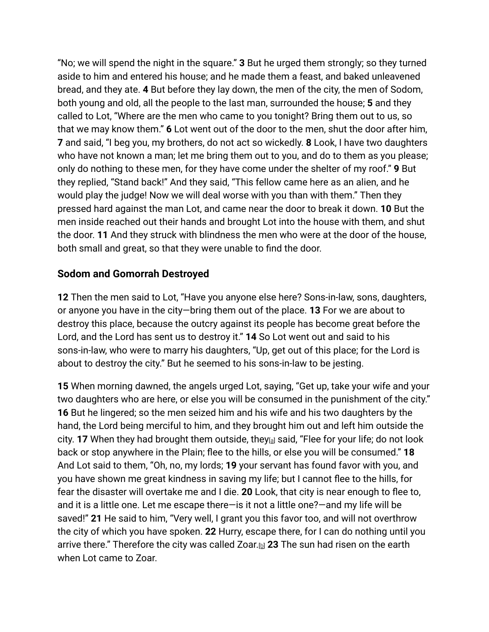"No; we will spend the night in the square." **3** But he urged them strongly; so they turned aside to him and entered his house; and he made them a feast, and baked unleavened bread, and they ate. **4** But before they lay down, the men of the city, the men of Sodom, both young and old, all the people to the last man, surrounded the house; **5** and they called to Lot, "Where are the men who came to you tonight? Bring them out to us, so that we may know them." **6** Lot went out of the door to the men, shut the door after him, **7** and said, "I beg you, my brothers, do not act so wickedly. **8** Look, I have two daughters who have not known a man; let me bring them out to you, and do to them as you please; only do nothing to these men, for they have come under the shelter of my roof." **9** But they replied, "Stand back!" And they said, "This fellow came here as an alien, and he would play the judge! Now we will deal worse with you than with them." Then they pressed hard against the man Lot, and came near the door to break it down. **10** But the men inside reached out their hands and brought Lot into the house with them, and shut the door. **11** And they struck with blindness the men who were at the door of the house, both small and great, so that they were unable to find the door.

# **Sodom and Gomorrah Destroyed**

**12** Then the men said to Lot, "Have you anyone else here? Sons-in-law, sons, daughters, or anyone you have in the city—bring them out of the place. **13** For we are about to destroy this place, because the outcry against its people has become great before the Lord, and the Lord has sent us to destroy it." **14** So Lot went out and said to his sons-in-law, who were to marry his daughters, "Up, get out of this place; for the Lord is about to destroy the city." But he seemed to his sons-in-law to be jesting.

**15** When morning dawned, the angels urged Lot, saying, "Get up, take your wife and your two daughters who are here, or else you will be consumed in the punishment of the city." **16** But he lingered; so the men seized him and his wife and his two daughters by the hand, the Lord being merciful to him, and they brought him out and left him outside the city. **17** When they had brought them outside, they<sub>[[a\]](https://www.biblegateway.com/passage/?search=Genesis+19%3A+1-29&version=NRSV#fen-NRSV-475a)</sub> said, "Flee for your life; do not look back or stop anywhere in the Plain; flee to the hills, or else you will be consumed." **18** And Lot said to them, "Oh, no, my lords; **19** your servant has found favor with you, and you have shown me great kindness in saving my life; but I cannot flee to the hills, for fear the disaster will overtake me and I die. **20** Look, that city is near enough to flee to, and it is a little one. Let me escape there—is it not a little one?—and my life will be saved!" **21** He said to him, "Very well, I grant you this favor too, and will not overthrow the city of which you have spoken. **22** Hurry, escape there, for I can do nothing until you arrive there." Therefore the city was called Zoar.[[b](https://www.biblegateway.com/passage/?search=Genesis+19%3A+1-29&version=NRSV#fen-NRSV-480b)] **23** The sun had risen on the earth when Lot came to Zoar.